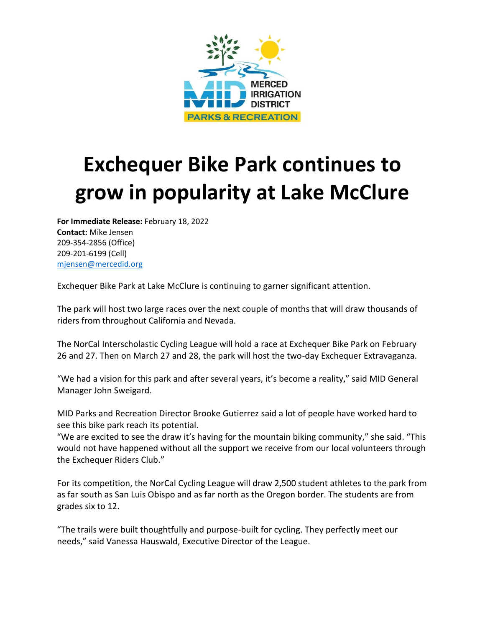

## **Exchequer Bike Park continues to grow in popularity at Lake McClure**

**For Immediate Release:** February 18, 2022 **Contact:** Mike Jensen 209-354-2856 (Office) 209-201-6199 (Cell) [mjensen@mercedid.org](mailto:mjensen@mercedid.org)

Exchequer Bike Park at Lake McClure is continuing to garner significant attention.

The park will host two large races over the next couple of months that will draw thousands of riders from throughout California and Nevada.

The NorCal Interscholastic Cycling League will hold a race at Exchequer Bike Park on February 26 and 27. Then on March 27 and 28, the park will host the two-day Exchequer Extravaganza.

"We had a vision for this park and after several years, it's become a reality," said MID General Manager John Sweigard.

MID Parks and Recreation Director Brooke Gutierrez said a lot of people have worked hard to see this bike park reach its potential.

"We are excited to see the draw it's having for the mountain biking community," she said. "This would not have happened without all the support we receive from our local volunteers through the Exchequer Riders Club."

For its competition, the NorCal Cycling League will draw 2,500 student athletes to the park from as far south as San Luis Obispo and as far north as the Oregon border. The students are from grades six to 12.

"The trails were built thoughtfully and purpose-built for cycling. They perfectly meet our needs," said Vanessa Hauswald, Executive Director of the League.